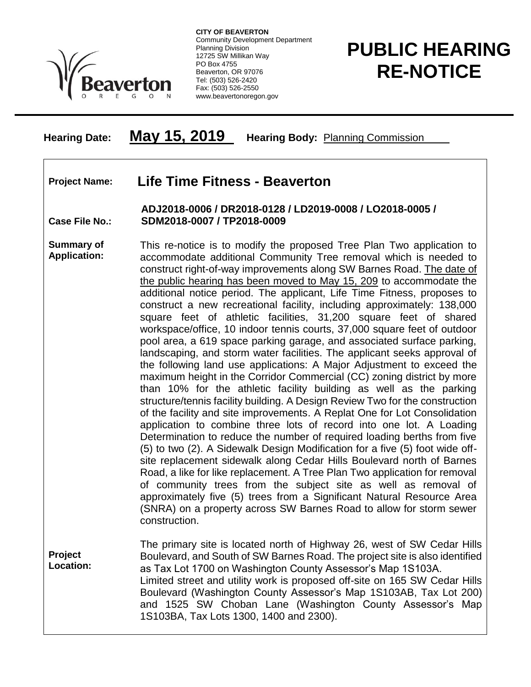

**CITY OF BEAVERTON** Community Development Department Planning Division 12725 SW Millikan Way PO Box 4755 Beaverton, OR 97076 Tel: (503) 526-2420 Fax: (503) 526-2550 www.beavertonoregon.gov

## **PUBLIC HEARING RE-NOTICE**

## **Hearing Date: May 15, 2019 Hearing Body:** Planning Commission

## **Project Name: Life Time Fitness - Beaverton**

**Case File No.: ADJ2018-0006 / DR2018-0128 / LD2019-0008 / LO2018-0005 / SDM2018-0007 / TP2018-0009**

**Summary of Application:** This re-notice is to modify the proposed Tree Plan Two application to accommodate additional Community Tree removal which is needed to construct right-of-way improvements along SW Barnes Road. The date of the public hearing has been moved to May 15, 209 to accommodate the additional notice period. The applicant, Life Time Fitness, proposes to construct a new recreational facility, including approximately: 138,000 square feet of athletic facilities, 31,200 square feet of shared workspace/office, 10 indoor tennis courts, 37,000 square feet of outdoor pool area, a 619 space parking garage, and associated surface parking, landscaping, and storm water facilities. The applicant seeks approval of the following land use applications: A Major Adjustment to exceed the maximum height in the Corridor Commercial (CC) zoning district by more than 10% for the athletic facility building as well as the parking structure/tennis facility building. A Design Review Two for the construction of the facility and site improvements. A Replat One for Lot Consolidation application to combine three lots of record into one lot. A Loading Determination to reduce the number of required loading berths from five (5) to two (2). A Sidewalk Design Modification for a five (5) foot wide offsite replacement sidewalk along Cedar Hills Boulevard north of Barnes Road, a like for like replacement. A Tree Plan Two application for removal of community trees from the subject site as well as removal of approximately five (5) trees from a Significant Natural Resource Area (SNRA) on a property across SW Barnes Road to allow for storm sewer construction.

**Project Location:** The primary site is located north of Highway 26, west of SW Cedar Hills Boulevard, and South of SW Barnes Road. The project site is also identified as Tax Lot 1700 on Washington County Assessor's Map 1S103A. Limited street and utility work is proposed off-site on 165 SW Cedar Hills Boulevard (Washington County Assessor's Map 1S103AB, Tax Lot 200) and 1525 SW Choban Lane (Washington County Assessor's Map 1S103BA, Tax Lots 1300, 1400 and 2300).